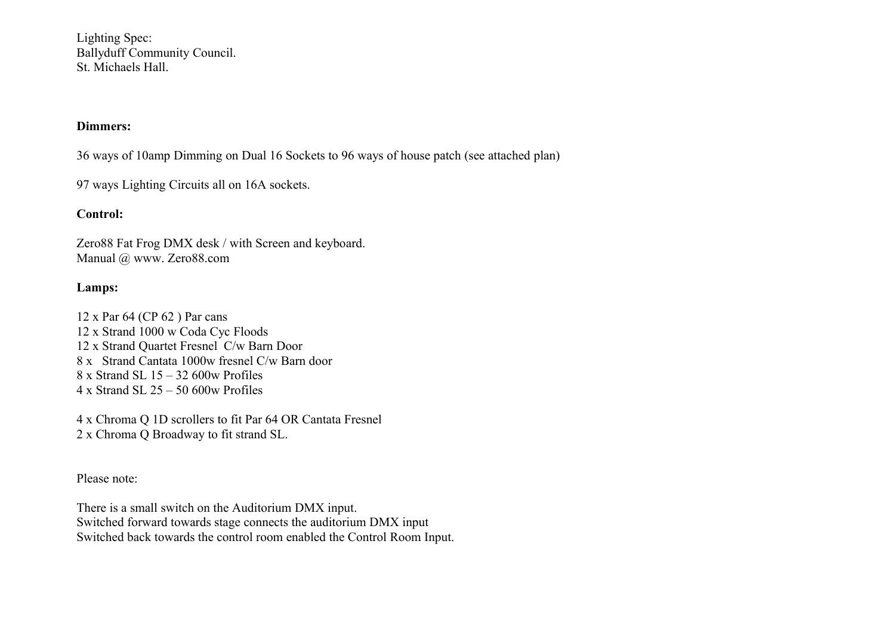Lighting Spec: Ballyduff Community Council. St. Michaels Hall.

## **Dimmers:**

36 ways of 10amp Dimming on Dual 16 Sockets to 96 ways of house patch (see attached plan)

97 ways Lighting Circuits all on 16A sockets.

## **Control:**

Zero88 Fat Frog DMX desk / with Screen and keyboard. Manual @ www. Zero88.com

## **Lamps:**

12 x Par 64 (CP 62 ) Par cans 12 x Strand 1000 w Coda Cyc Floods 12 x Strand Quartet Fresnel C/w Barn Door 8 x Strand Cantata 1000w fresnel C/w Barn door 8 x Strand SL 15 – 32 600w Profiles 4 x Strand SL 25 – 50 600w Profiles

4 x Chroma Q 1D scrollers to fit Par 64 OR Cantata Fresnel 2 x Chroma Q Broadway to fit strand SL.

Please note:

There is a small switch on the Auditorium DMX input. Switched forward towards stage connects the auditorium DMX input Switched back towards the control room enabled the Control Room Input.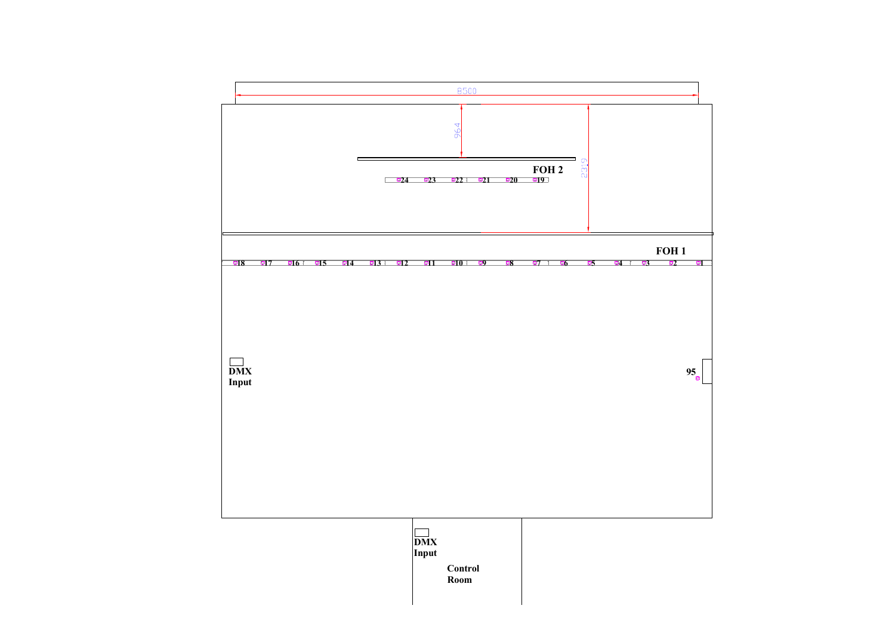